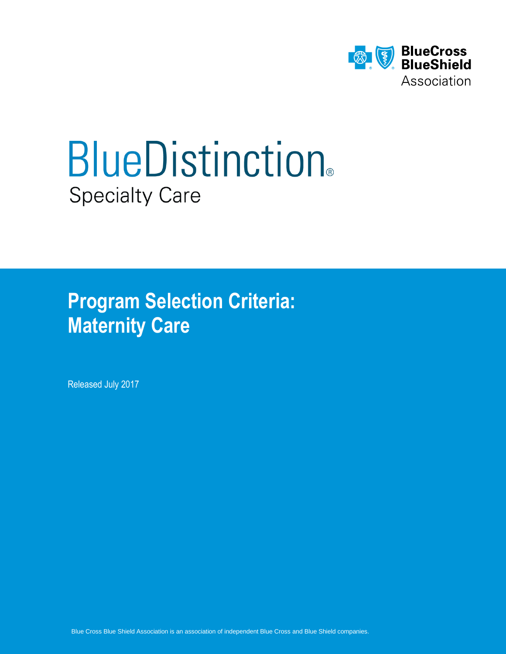

# **BlueDistinction®** Specialty Care

**Program Selection Criteria: Maternity Care** 

Released July 2017

Blue Cross Blue Shield Association is an association of independent Blue Cross and Blue Shield companies.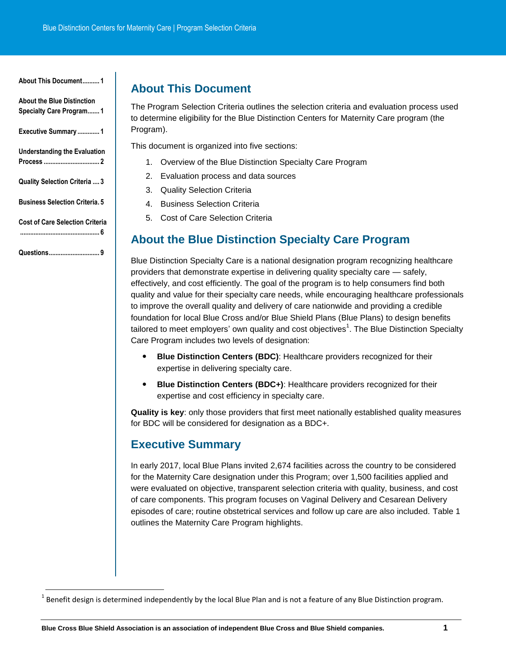<span id="page-1-0"></span>**[About This Document..........](#page-1-0) 1**

**[About the Blue Distinction](#page-1-1)  [Specialty Care Program.......](#page-1-1) 1**

**[Executive Summary](#page-1-2) ............. 1**

**[Understanding the Evaluation](#page-2-0)  Process [.................................](#page-2-0) 2**

**[Quality Selection Criteria](#page-3-0) .... 3**

**[Business Selection Criteria.](#page-5-0) 5**

**[Cost of Care Selection Criteria](#page-6-0)**

<span id="page-1-1"></span>**[...............................................](#page-6-0) 6**

**[Questions..............................](#page-9-0) 9**

# **About This Document**

The Program Selection Criteria outlines the selection criteria and evaluation process used to determine eligibility for the Blue Distinction Centers for Maternity Care program (the Program).

This document is organized into five sections:

- 1. Overview of the Blue Distinction Specialty Care Program
- 2. Evaluation process and data sources
- 3. Quality Selection Criteria
- 4. Business Selection Criteria
- 5. Cost of Care Selection Criteria

# **About the Blue Distinction Specialty Care Program**

Blue Distinction Specialty Care is a national designation program recognizing healthcare providers that demonstrate expertise in delivering quality specialty care — safely, effectively, and cost efficiently. The goal of the program is to help consumers find both quality and value for their specialty care needs, while encouraging healthcare professionals to improve the overall quality and delivery of care nationwide and providing a credible foundation for local Blue Cross and/or Blue Shield Plans (Blue Plans) to design benefits tailored to meet employers' own quality and cost objectives<sup>1</sup>. The Blue Distinction Specialty Care Program includes two levels of designation:

- **Blue Distinction Centers (BDC)**: Healthcare providers recognized for their expertise in delivering specialty care.
- **Blue Distinction Centers (BDC+)**: Healthcare providers recognized for their expertise and cost efficiency in specialty care.

**Quality is key**: only those providers that first meet nationally established quality measures for BDC will be considered for designation as a BDC+.

# <span id="page-1-2"></span>**Executive Summary**

In early 2017, local Blue Plans invited 2,674 facilities across the country to be considered for the Maternity Care designation under this Program; over 1,500 facilities applied and were evaluated on objective, transparent selection criteria with quality, business, and cost of care components. This program focuses on Vaginal Delivery and Cesarean Delivery episodes of care; routine obstetrical services and follow up care are also included. Table 1 outlines the Maternity Care Program highlights.

l  $^1$  Benefit design is determined independently by the local Blue Plan and is not a feature of any Blue Distinction program.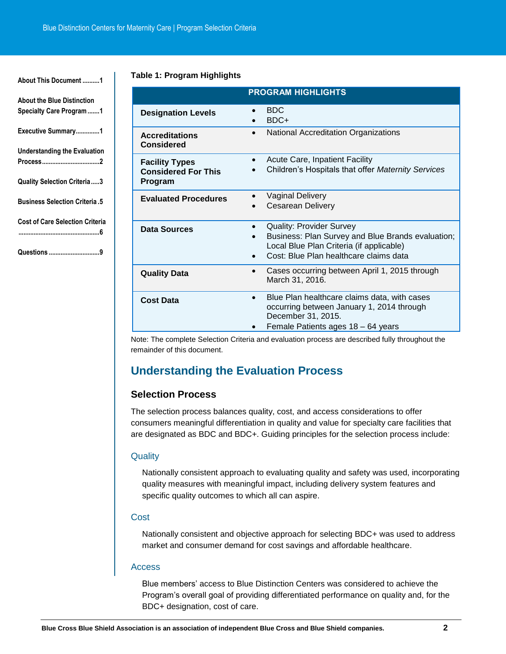#### **[About This Document](#page-1-0) ..........1**

**[About the Blue Distinction](#page-1-1)  [Specialty Care Program.......1](#page-1-1) [Executive Summary..............1](#page-1-2) [Understanding the Evaluation](#page-2-0)  [Process..................................2](#page-2-0) [Quality Selection Criteria.....3](#page-3-0) [Business Selection Criteria](#page-5-0) .5 [Cost of Care Selection Criteria](#page-6-0)**

**[................................................6](#page-6-0)**

**Questions [..............................9](#page-9-0)**

#### **Table 1: Program Highlights**

|                                                                       | <b>PROGRAM HIGHLIGHTS</b>                                                                                                                                                       |
|-----------------------------------------------------------------------|---------------------------------------------------------------------------------------------------------------------------------------------------------------------------------|
| <b>Designation Levels</b>                                             | <b>BDC</b><br>$\bullet$<br>BDC+                                                                                                                                                 |
| <b>Accreditations</b><br><b>Considered</b>                            | <b>National Accreditation Organizations</b><br>$\bullet$                                                                                                                        |
| <b>Facility Types</b><br><b>Considered For This</b><br><b>Program</b> | <b>Acute Care, Inpatient Facility</b><br>٠<br>Children's Hospitals that offer Maternity Services                                                                                |
| <b>Evaluated Procedures</b>                                           | <b>Vaginal Delivery</b><br><b>Cesarean Delivery</b>                                                                                                                             |
| <b>Data Sources</b>                                                   | <b>Quality: Provider Survey</b><br>٠<br>Business: Plan Survey and Blue Brands evaluation;<br>Local Blue Plan Criteria (if applicable)<br>Cost: Blue Plan healthcare claims data |
| <b>Quality Data</b>                                                   | Cases occurring between April 1, 2015 through<br>$\bullet$<br>March 31, 2016.                                                                                                   |
| <b>Cost Data</b>                                                      | Blue Plan healthcare claims data, with cases<br>$\bullet$<br>occurring between January 1, 2014 through<br>December 31, 2015.<br>Female Patients ages 18 - 64 years              |

Note: The complete Selection Criteria and evaluation process are described fully throughout the remainder of this document.

# <span id="page-2-0"></span>**Understanding the Evaluation Process**

## **Selection Process**

The selection process balances quality, cost, and access considerations to offer consumers meaningful differentiation in quality and value for specialty care facilities that are designated as BDC and BDC+. Guiding principles for the selection process include:

#### **Quality**

Nationally consistent approach to evaluating quality and safety was used, incorporating quality measures with meaningful impact, including delivery system features and specific quality outcomes to which all can aspire.

#### **Cost**

Nationally consistent and objective approach for selecting BDC+ was used to address market and consumer demand for cost savings and affordable healthcare.

#### Access

Blue members' access to Blue Distinction Centers was considered to achieve the Program's overall goal of providing differentiated performance on quality and, for the BDC+ designation, cost of care.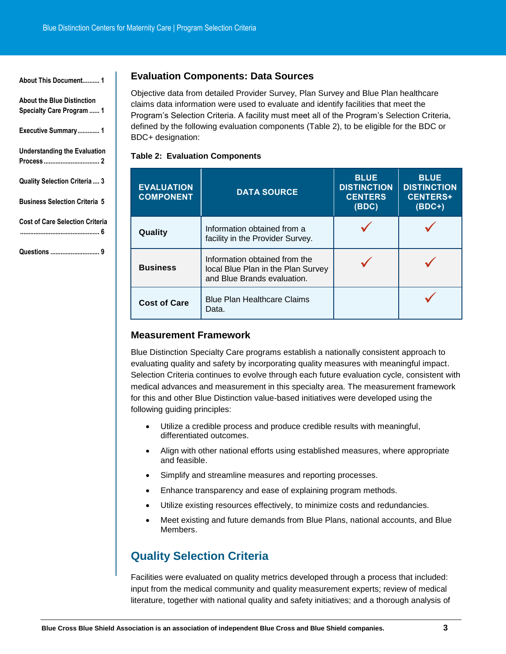| About This Document 1                                                 |
|-----------------------------------------------------------------------|
| <b>About the Blue Distinction</b><br><b>Specialty Care Program  1</b> |
| Executive Summary 1                                                   |
| <b>Understanding the Evaluation</b>                                   |
| <b>Quality Selection Criteria 3</b>                                   |
| <b>Business Selection Criteria 5</b>                                  |
| <b>Cost of Care Selection Criteria</b>                                |

## **[...............................................](#page-6-0) 6**

**Questions [.............................](#page-9-0) 9**

## **Evaluation Components: Data Sources**

Objective data from detailed Provider Survey, Plan Survey and Blue Plan healthcare claims data information were used to evaluate and identify facilities that meet the Program's Selection Criteria. A facility must meet all of the Program's Selection Criteria, defined by the following evaluation components (Table 2), to be eligible for the BDC or BDC+ designation:

## **Table 2: Evaluation Components**

| <b>EVALUATION</b><br><b>COMPONENT</b> | <b>DATA SOURCE</b>                                                                                 | <b>BLUE</b><br><b>DISTINCTION</b><br><b>CENTERS</b><br>(BDC) | <b>BLUE</b><br><b>DISTINCTION</b><br><b>CENTERS+</b><br>$(BDC+)$ |
|---------------------------------------|----------------------------------------------------------------------------------------------------|--------------------------------------------------------------|------------------------------------------------------------------|
| Quality                               | Information obtained from a<br>facility in the Provider Survey.                                    |                                                              |                                                                  |
| <b>Business</b>                       | Information obtained from the<br>local Blue Plan in the Plan Survey<br>and Blue Brands evaluation. |                                                              |                                                                  |
| <b>Cost of Care</b>                   | <b>Blue Plan Healthcare Claims</b><br>Data.                                                        |                                                              |                                                                  |

## **Measurement Framework**

Blue Distinction Specialty Care programs establish a nationally consistent approach to evaluating quality and safety by incorporating quality measures with meaningful impact. Selection Criteria continues to evolve through each future evaluation cycle, consistent with medical advances and measurement in this specialty area. The measurement framework for this and other Blue Distinction value-based initiatives were developed using the following guiding principles:

- Utilize a credible process and produce credible results with meaningful, differentiated outcomes.
- Align with other national efforts using established measures, where appropriate and feasible.
- Simplify and streamline measures and reporting processes.
- Enhance transparency and ease of explaining program methods.
- Utilize existing resources effectively, to minimize costs and redundancies.
- Meet existing and future demands from Blue Plans, national accounts, and Blue Members.

# <span id="page-3-0"></span>**Quality Selection Criteria**

Facilities were evaluated on quality metrics developed through a process that included: input from the medical community and quality measurement experts; review of medical literature, together with national quality and safety initiatives; and a thorough analysis of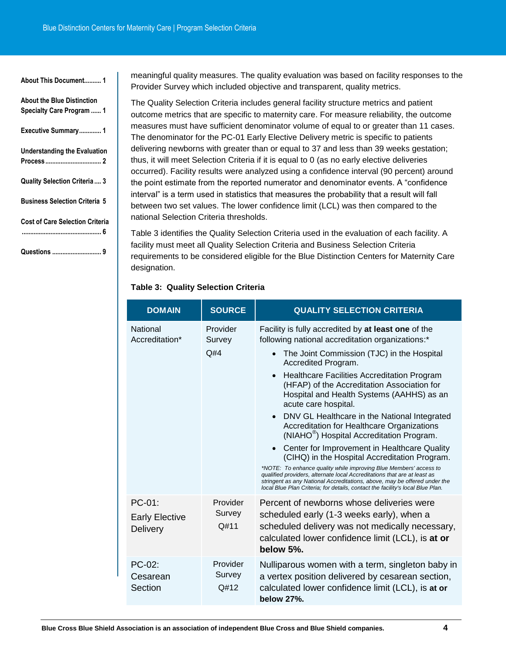Ť.

| About This Document 1                                          |
|----------------------------------------------------------------|
| <b>About the Blue Distinction</b><br>Specialty Care Program  1 |
| Executive Summary 1                                            |
| <b>Understanding the Evaluation</b>                            |
| Quality Selection Criteria 3                                   |
| <b>Business Selection Criteria 5</b>                           |
| <b>Cost of Care Selection Criteria</b><br>6                    |
|                                                                |

meaningful quality measures. The quality evaluation was based on facility responses to the Provider Survey which included objective and transparent, quality metrics.

The Quality Selection Criteria includes general facility structure metrics and patient outcome metrics that are specific to maternity care. For measure reliability, the outcome measures must have sufficient denominator volume of equal to or greater than 11 cases. The denominator for the PC-01 Early Elective Delivery metric is specific to patients delivering newborns with greater than or equal to 37 and less than 39 weeks gestation; thus, it will meet Selection Criteria if it is equal to 0 (as no early elective deliveries occurred). Facility results were analyzed using a confidence interval (90 percent) around the point estimate from the reported numerator and denominator events. A "confidence interval" is a term used in statistics that measures the probability that a result will fall between two set values. The lower confidence limit (LCL) was then compared to the national Selection Criteria thresholds.

Table 3 identifies the Quality Selection Criteria used in the evaluation of each facility. A facility must meet all Quality Selection Criteria and Business Selection Criteria requirements to be considered eligible for the Blue Distinction Centers for Maternity Care designation.

#### **Table 3: Quality Selection Criteria**

| <b>DOMAIN</b>                                         | <b>SOURCE</b>              | <b>QUALITY SELECTION CRITERIA</b>                                                                                                                                                                                                                                                                                                                                                                               |
|-------------------------------------------------------|----------------------------|-----------------------------------------------------------------------------------------------------------------------------------------------------------------------------------------------------------------------------------------------------------------------------------------------------------------------------------------------------------------------------------------------------------------|
| <b>National</b><br>Accreditation*                     | Provider<br>Survey         | Facility is fully accredited by at least one of the<br>following national accreditation organizations:*                                                                                                                                                                                                                                                                                                         |
|                                                       | Q#4                        | The Joint Commission (TJC) in the Hospital<br>Accredited Program.                                                                                                                                                                                                                                                                                                                                               |
|                                                       |                            | <b>Healthcare Facilities Accreditation Program</b><br>$\bullet$<br>(HFAP) of the Accreditation Association for<br>Hospital and Health Systems (AAHHS) as an<br>acute care hospital.                                                                                                                                                                                                                             |
|                                                       |                            | DNV GL Healthcare in the National Integrated<br>Accreditation for Healthcare Organizations<br>(NIAHO <sup>®</sup> ) Hospital Accreditation Program.                                                                                                                                                                                                                                                             |
|                                                       |                            | • Center for Improvement in Healthcare Quality<br>(CIHQ) in the Hospital Accreditation Program.<br>*NOTE: To enhance quality while improving Blue Members' access to<br>qualified providers, alternate local Accreditations that are at least as<br>stringent as any National Accreditations, above, may be offered under the<br>local Blue Plan Criteria; for details, contact the facility's local Blue Plan. |
| $PC-01$ :<br><b>Early Elective</b><br><b>Delivery</b> | Provider<br>Survey<br>Q#11 | Percent of newborns whose deliveries were<br>scheduled early (1-3 weeks early), when a<br>scheduled delivery was not medically necessary,<br>calculated lower confidence limit (LCL), is at or<br>below 5%.                                                                                                                                                                                                     |
| PC-02:<br>Cesarean<br>Section                         | Provider<br>Survey<br>Q#12 | Nulliparous women with a term, singleton baby in<br>a vertex position delivered by cesarean section,<br>calculated lower confidence limit (LCL), is at or<br>below 27%.                                                                                                                                                                                                                                         |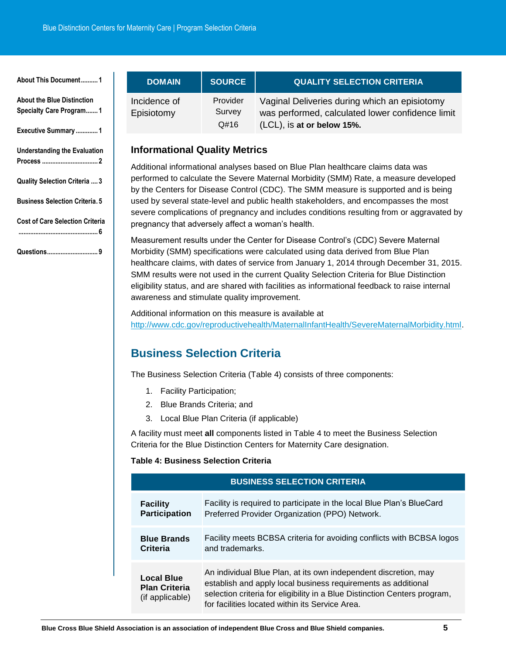| About This Document1                                                |
|---------------------------------------------------------------------|
| <b>About the Blue Distinction</b><br><b>Specialty Care Program1</b> |
| Executive Summary  1                                                |
| <b>Understanding the Evaluation</b>                                 |
| <b>Quality Selection Criteria  3</b>                                |
| <b>Business Selection Criteria. 5</b>                               |
| <b>Cost of Care Selection Criteria</b><br>                          |

**[Questions..............................](#page-9-0) 9**

**DOMAIN SOURCE QUALITY SELECTION CRITERIA** Incidence of Episiotomy Provider Survey Q#16 Vaginal Deliveries during which an episiotomy was performed, calculated lower confidence limit (LCL), is **at or below 15%.**

# **Informational Quality Metrics**

Additional informational analyses based on Blue Plan healthcare claims data was performed to calculate the Severe Maternal Morbidity (SMM) Rate, a measure developed by the Centers for Disease Control (CDC). The SMM measure is supported and is being used by several state-level and public health stakeholders, and encompasses the most severe complications of pregnancy and includes conditions resulting from or aggravated by pregnancy that adversely affect a woman's health.

Measurement results under the Center for Disease Control's (CDC) Severe Maternal Morbidity (SMM) specifications were calculated using data derived from Blue Plan healthcare claims, with dates of service from January 1, 2014 through December 31, 2015. SMM results were not used in the current Quality Selection Criteria for Blue Distinction eligibility status, and are shared with facilities as informational feedback to raise internal awareness and stimulate quality improvement.

Additional information on this measure is available at [http://www.cdc.gov/reproductivehealth/MaternalInfantHealth/SevereMaternalMorbidity.html.](http://www.cdc.gov/reproductivehealth/MaternalInfantHealth/SevereMaternalMorbidity.html)

# <span id="page-5-0"></span>**Business Selection Criteria**

The Business Selection Criteria (Table 4) consists of three components:

- 1. Facility Participation;
- 2. Blue Brands Criteria; and
- 3. Local Blue Plan Criteria (if applicable)

A facility must meet **all** components listed in Table 4 to meet the Business Selection Criteria for the Blue Distinction Centers for Maternity Care designation.

## **Table 4: Business Selection Criteria**

| <b>BUSINESS SELECTION CRITERIA</b>                           |                                                                                                                                                                                                                                                                  |  |
|--------------------------------------------------------------|------------------------------------------------------------------------------------------------------------------------------------------------------------------------------------------------------------------------------------------------------------------|--|
| <b>Facility</b>                                              | Facility is required to participate in the local Blue Plan's BlueCard                                                                                                                                                                                            |  |
| <b>Participation</b>                                         | Preferred Provider Organization (PPO) Network.                                                                                                                                                                                                                   |  |
| <b>Blue Brands</b>                                           | Facility meets BCBSA criteria for avoiding conflicts with BCBSA logos                                                                                                                                                                                            |  |
| Criteria                                                     | and trademarks.                                                                                                                                                                                                                                                  |  |
| <b>Local Blue</b><br><b>Plan Criteria</b><br>(if applicable) | An individual Blue Plan, at its own independent discretion, may<br>establish and apply local business requirements as additional<br>selection criteria for eligibility in a Blue Distinction Centers program,<br>for facilities located within its Service Area. |  |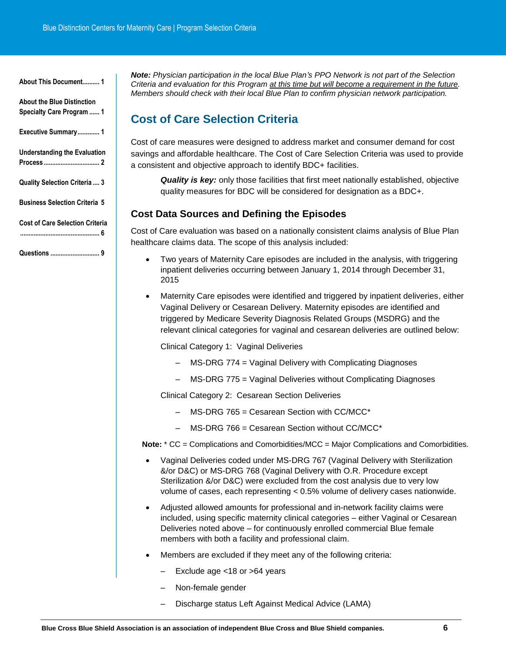<span id="page-6-0"></span>

| About the Blue Distinction<br>Specialty Care Program  1 |
|---------------------------------------------------------|
| Executive Summary 1                                     |
| <b>Understanding the Evaluation</b>                     |
| Quality Selection Criteria 3                            |
| <b>Business Selection Criteria 5</b>                    |
| <b>Cost of Care Selection Criteria</b><br>. 6           |

**Questions [.............................](#page-9-0) 9**

**About This Document.** 

*Note: Physician participation in the local Blue Plan's PPO Network is not part of the Selection Criteria and evaluation for this Program at this time but will become a requirement in the future. Members should check with their local Blue Plan to confirm physician network participation.* 

# **Cost of Care Selection Criteria**

Cost of care measures were designed to address market and consumer demand for cost savings and affordable healthcare. The Cost of Care Selection Criteria was used to provide a consistent and objective approach to identify BDC+ facilities.

*Quality is key:* only those facilities that first meet nationally established, objective quality measures for BDC will be considered for designation as a BDC+.

## **Cost Data Sources and Defining the Episodes**

Cost of Care evaluation was based on a nationally consistent claims analysis of Blue Plan healthcare claims data. The scope of this analysis included:

- Two years of Maternity Care episodes are included in the analysis, with triggering inpatient deliveries occurring between January 1, 2014 through December 31, 2015
- Maternity Care episodes were identified and triggered by inpatient deliveries, either Vaginal Delivery or Cesarean Delivery. Maternity episodes are identified and triggered by Medicare Severity Diagnosis Related Groups (MSDRG) and the relevant clinical categories for vaginal and cesarean deliveries are outlined below:

Clinical Category 1: Vaginal Deliveries

- MS-DRG 774 = Vaginal Delivery with Complicating Diagnoses
- MS-DRG 775 = Vaginal Deliveries without Complicating Diagnoses

Clinical Category 2: Cesarean Section Deliveries

- MS-DRG 765 = Cesarean Section with CC/MCC\*
- MS-DRG 766 = Cesarean Section without CC/MCC\*

**Note:** \* CC = Complications and Comorbidities/MCC = Major Complications and Comorbidities.

- Vaginal Deliveries coded under MS-DRG 767 (Vaginal Delivery with Sterilization &/or D&C) or MS-DRG 768 (Vaginal Delivery with O.R. Procedure except Sterilization &/or D&C) were excluded from the cost analysis due to very low volume of cases, each representing < 0.5% volume of delivery cases nationwide.
- Adjusted allowed amounts for professional and in-network facility claims were included, using specific maternity clinical categories – either Vaginal or Cesarean Deliveries noted above – for continuously enrolled commercial Blue female members with both a facility and professional claim.
- Members are excluded if they meet any of the following criteria:
	- Exclude age <18 or >64 years
	- Non-female gender
	- Discharge status Left Against Medical Advice (LAMA)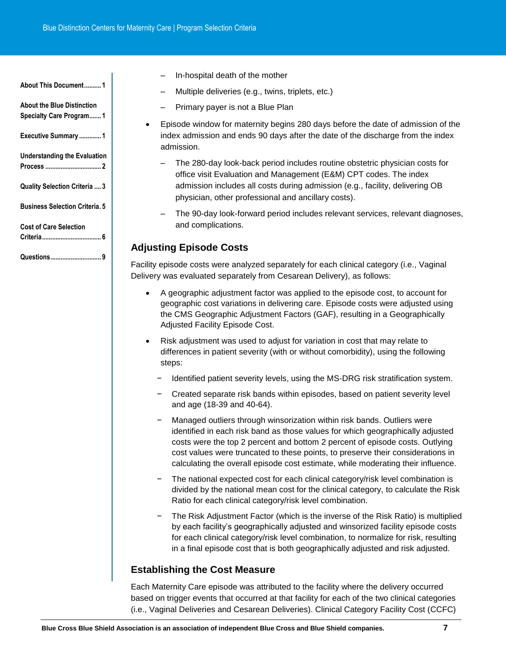**[About This Document..........](#page-1-0) 1**

**[About the Blue Distinction](#page-1-1)  [Specialty Care Program.......](#page-1-1) 1**

**[Executive Summary](#page-1-2) ............. 1**

**[Understanding the Evaluation](#page-2-0)  Process [.................................](#page-2-0) 2**

**[Quality Selection Criteria](#page-3-0) .... 3**

**[Business Selection Criteria.](#page-5-0) 5**

**[Cost of Care Selection](#page-6-0)  [Criteria...................................](#page-6-0) 6**

**[Questions..............................](#page-9-0) 9**

- In-hospital death of the mother
- Multiple deliveries (e.g., twins, triplets, etc.)
- Primary payer is not a Blue Plan
- Episode window for maternity begins 280 days before the date of admission of the index admission and ends 90 days after the date of the discharge from the index admission.
	- The 280-day look-back period includes routine obstetric physician costs for office visit Evaluation and Management (E&M) CPT codes. The index admission includes all costs during admission (e.g., facility, delivering OB physician, other professional and ancillary costs).
	- The 90-day look-forward period includes relevant services, relevant diagnoses, and complications.

## **Adjusting Episode Costs**

Facility episode costs were analyzed separately for each clinical category (i.e., Vaginal Delivery was evaluated separately from Cesarean Delivery), as follows:

- A geographic adjustment factor was applied to the episode cost, to account for geographic cost variations in delivering care. Episode costs were adjusted using the CMS Geographic Adjustment Factors (GAF), resulting in a Geographically Adjusted Facility Episode Cost.
- Risk adjustment was used to adjust for variation in cost that may relate to differences in patient severity (with or without comorbidity), using the following steps:
	- − Identified patient severity levels, using the MS-DRG risk stratification system.
	- − Created separate risk bands within episodes, based on patient severity level and age (18-39 and 40-64).
	- Managed outliers through winsorization within risk bands. Outliers were identified in each risk band as those values for which geographically adjusted costs were the top 2 percent and bottom 2 percent of episode costs. Outlying cost values were truncated to these points, to preserve their considerations in calculating the overall episode cost estimate, while moderating their influence.
	- The national expected cost for each clinical category/risk level combination is divided by the national mean cost for the clinical category, to calculate the Risk Ratio for each clinical category/risk level combination.
	- − The Risk Adjustment Factor (which is the inverse of the Risk Ratio) is multiplied by each facility's geographically adjusted and winsorized facility episode costs for each clinical category/risk level combination, to normalize for risk, resulting in a final episode cost that is both geographically adjusted and risk adjusted.

# **Establishing the Cost Measure**

Each Maternity Care episode was attributed to the facility where the delivery occurred based on trigger events that occurred at that facility for each of the two clinical categories (i.e., Vaginal Deliveries and Cesarean Deliveries). Clinical Category Facility Cost (CCFC)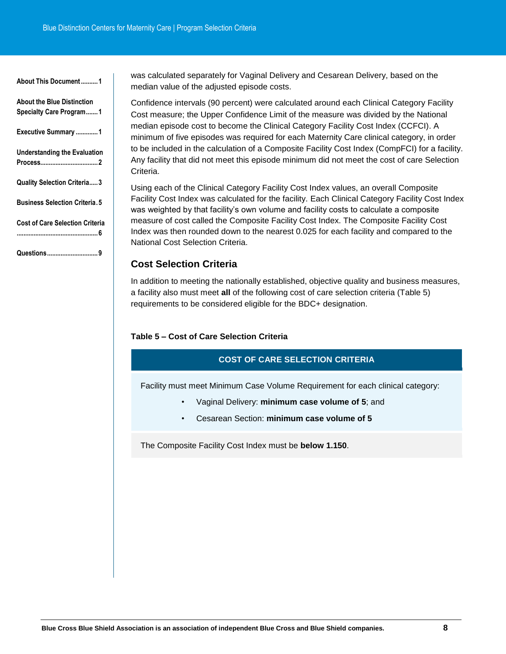| ADOUL THIS DOCUMENT I                                               |
|---------------------------------------------------------------------|
| <b>About the Blue Distinction</b><br><b>Specialty Care Program1</b> |
| Executive Summary 1                                                 |
| <b>Understanding the Evaluation</b>                                 |
| <b>Quality Selection Criteria3</b>                                  |
| <b>Business Selection Criteria.5</b>                                |
| <b>Cost of Care Selection Criteria</b><br>. 6                       |
| Questions9                                                          |

**[About This Document..........1](#page-1-0)**

was calculated separately for Vaginal Delivery and Cesarean Delivery, based on the median value of the adjusted episode costs.

Confidence intervals (90 percent) were calculated around each Clinical Category Facility Cost measure; the Upper Confidence Limit of the measure was divided by the National median episode cost to become the Clinical Category Facility Cost Index (CCFCI). A minimum of five episodes was required for each Maternity Care clinical category, in order to be included in the calculation of a Composite Facility Cost Index (CompFCI) for a facility. Any facility that did not meet this episode minimum did not meet the cost of care Selection Criteria.

Using each of the Clinical Category Facility Cost Index values, an overall Composite Facility Cost Index was calculated for the facility. Each Clinical Category Facility Cost Index was weighted by that facility's own volume and facility costs to calculate a composite measure of cost called the Composite Facility Cost Index. The Composite Facility Cost Index was then rounded down to the nearest 0.025 for each facility and compared to the National Cost Selection Criteria.

## **Cost Selection Criteria**

In addition to meeting the nationally established, objective quality and business measures, a facility also must meet **all** of the following cost of care selection criteria (Table 5) requirements to be considered eligible for the BDC+ designation.

## **Table 5 – Cost of Care Selection Criteria**

## **COST OF CARE SELECTION CRITERIA**

Facility must meet Minimum Case Volume Requirement for each clinical category:

- Vaginal Delivery: **minimum case volume of 5**; and
- Cesarean Section: **minimum case volume of 5**

The Composite Facility Cost Index must be **below 1.150**.